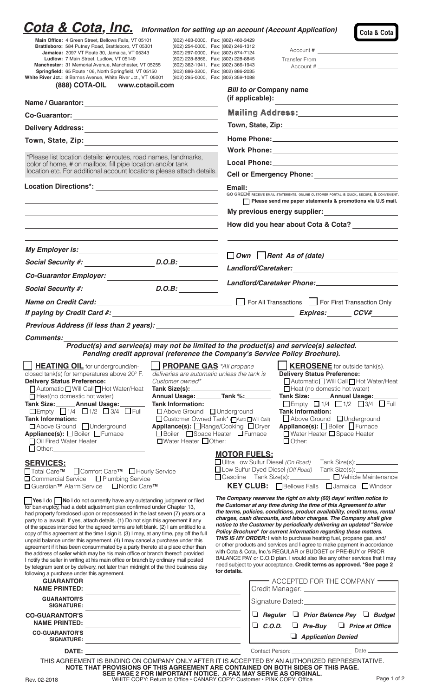| <b>Cota &amp; Cota, Inc.</b> Information for setting up an account (Account Application)                                                                                                                                                                                                                                                                                                                                                                                                                                                                                                                                                                                                                                                                                                                                                                                                                                                                                                                                                                                                                                                                                                                                            |                                                                                |                                                                                                                                                                                                                                                                                                                              |  |
|-------------------------------------------------------------------------------------------------------------------------------------------------------------------------------------------------------------------------------------------------------------------------------------------------------------------------------------------------------------------------------------------------------------------------------------------------------------------------------------------------------------------------------------------------------------------------------------------------------------------------------------------------------------------------------------------------------------------------------------------------------------------------------------------------------------------------------------------------------------------------------------------------------------------------------------------------------------------------------------------------------------------------------------------------------------------------------------------------------------------------------------------------------------------------------------------------------------------------------------|--------------------------------------------------------------------------------|------------------------------------------------------------------------------------------------------------------------------------------------------------------------------------------------------------------------------------------------------------------------------------------------------------------------------|--|
| Main Office: 4 Green Street, Bellows Falls, VT 05101<br>Brattleboro: 584 Putney Road, Brattleboro, VT 05301                                                                                                                                                                                                                                                                                                                                                                                                                                                                                                                                                                                                                                                                                                                                                                                                                                                                                                                                                                                                                                                                                                                         |                                                                                | Cota & Cota<br>(802) 463-0000, Fax: (802) 460-3429<br>(802) 254-0000, Fax: (802) 246-1312                                                                                                                                                                                                                                    |  |
| Jamaica: 2097 VT Route 30, Jamaica, VT 05343                                                                                                                                                                                                                                                                                                                                                                                                                                                                                                                                                                                                                                                                                                                                                                                                                                                                                                                                                                                                                                                                                                                                                                                        |                                                                                | (802) 297-0000, Fax: (802) 874-7124                                                                                                                                                                                                                                                                                          |  |
| Ludlow: 7 Main Street, Ludlow, VT 05149<br>Manchester: 31 Memorial Avenue, Manchester, VT 05255                                                                                                                                                                                                                                                                                                                                                                                                                                                                                                                                                                                                                                                                                                                                                                                                                                                                                                                                                                                                                                                                                                                                     |                                                                                | (802) 228-8866, Fax: (802) 228-8845<br>Transfer From<br>(802) 362-1941, Fax: (802) 366-1943                                                                                                                                                                                                                                  |  |
| Springfield: 65 Route 106, North Springfield, VT 05150<br>White River Jct.: 8 Barnes Avenue, White River Jct., VT 05001                                                                                                                                                                                                                                                                                                                                                                                                                                                                                                                                                                                                                                                                                                                                                                                                                                                                                                                                                                                                                                                                                                             |                                                                                | (802) 886-3200, Fax: (802) 886-2035<br>(802) 295-0000, Fax: (802) 359-1088                                                                                                                                                                                                                                                   |  |
| <b>(888) COTA-OIL</b><br>www.cotaoil.com                                                                                                                                                                                                                                                                                                                                                                                                                                                                                                                                                                                                                                                                                                                                                                                                                                                                                                                                                                                                                                                                                                                                                                                            |                                                                                | <b>Bill to or Company name</b>                                                                                                                                                                                                                                                                                               |  |
|                                                                                                                                                                                                                                                                                                                                                                                                                                                                                                                                                                                                                                                                                                                                                                                                                                                                                                                                                                                                                                                                                                                                                                                                                                     |                                                                                | (if applicable):                                                                                                                                                                                                                                                                                                             |  |
|                                                                                                                                                                                                                                                                                                                                                                                                                                                                                                                                                                                                                                                                                                                                                                                                                                                                                                                                                                                                                                                                                                                                                                                                                                     |                                                                                | Mailing Address:_______________________                                                                                                                                                                                                                                                                                      |  |
|                                                                                                                                                                                                                                                                                                                                                                                                                                                                                                                                                                                                                                                                                                                                                                                                                                                                                                                                                                                                                                                                                                                                                                                                                                     |                                                                                |                                                                                                                                                                                                                                                                                                                              |  |
|                                                                                                                                                                                                                                                                                                                                                                                                                                                                                                                                                                                                                                                                                                                                                                                                                                                                                                                                                                                                                                                                                                                                                                                                                                     |                                                                                |                                                                                                                                                                                                                                                                                                                              |  |
| *Please list location details: ie routes, road names, landmarks,                                                                                                                                                                                                                                                                                                                                                                                                                                                                                                                                                                                                                                                                                                                                                                                                                                                                                                                                                                                                                                                                                                                                                                    |                                                                                |                                                                                                                                                                                                                                                                                                                              |  |
| color of home, # on mailbox, fill pipe location and/or tank<br>location etc. For additional account locations please attach details.                                                                                                                                                                                                                                                                                                                                                                                                                                                                                                                                                                                                                                                                                                                                                                                                                                                                                                                                                                                                                                                                                                |                                                                                | <b>Cell or Emergency Phone: Cell or Emergency Phone:</b>                                                                                                                                                                                                                                                                     |  |
| Location Directions*: Network and Container the Container of the Container of the Container of the Container o                                                                                                                                                                                                                                                                                                                                                                                                                                                                                                                                                                                                                                                                                                                                                                                                                                                                                                                                                                                                                                                                                                                      |                                                                                | Email: The contract of the contract of the contract of the contract of the contract of the contract of the contract of the contract of the contract of the contract of the contract of the contract of the contract of the con<br>GO GREEN! RECEIVE EMAIL STATEMENTS. ONLINE CUSTOMER PORTAL IS QUICK, SECURE, & CONVENIENT. |  |
|                                                                                                                                                                                                                                                                                                                                                                                                                                                                                                                                                                                                                                                                                                                                                                                                                                                                                                                                                                                                                                                                                                                                                                                                                                     |                                                                                |                                                                                                                                                                                                                                                                                                                              |  |
|                                                                                                                                                                                                                                                                                                                                                                                                                                                                                                                                                                                                                                                                                                                                                                                                                                                                                                                                                                                                                                                                                                                                                                                                                                     |                                                                                | My previous energy supplier:<br><u> Letter and the set of the set of the set of the set of the set of the set of the set of the set of the set of the set of the set of the set of the set of the set of the set of the set of the</u>                                                                                       |  |
|                                                                                                                                                                                                                                                                                                                                                                                                                                                                                                                                                                                                                                                                                                                                                                                                                                                                                                                                                                                                                                                                                                                                                                                                                                     |                                                                                | How did you hear about Cota & Cota?                                                                                                                                                                                                                                                                                          |  |
|                                                                                                                                                                                                                                                                                                                                                                                                                                                                                                                                                                                                                                                                                                                                                                                                                                                                                                                                                                                                                                                                                                                                                                                                                                     |                                                                                |                                                                                                                                                                                                                                                                                                                              |  |
|                                                                                                                                                                                                                                                                                                                                                                                                                                                                                                                                                                                                                                                                                                                                                                                                                                                                                                                                                                                                                                                                                                                                                                                                                                     |                                                                                |                                                                                                                                                                                                                                                                                                                              |  |
|                                                                                                                                                                                                                                                                                                                                                                                                                                                                                                                                                                                                                                                                                                                                                                                                                                                                                                                                                                                                                                                                                                                                                                                                                                     |                                                                                |                                                                                                                                                                                                                                                                                                                              |  |
| Social Security #: D.O.B:                                                                                                                                                                                                                                                                                                                                                                                                                                                                                                                                                                                                                                                                                                                                                                                                                                                                                                                                                                                                                                                                                                                                                                                                           |                                                                                |                                                                                                                                                                                                                                                                                                                              |  |
|                                                                                                                                                                                                                                                                                                                                                                                                                                                                                                                                                                                                                                                                                                                                                                                                                                                                                                                                                                                                                                                                                                                                                                                                                                     |                                                                                | Name on Credit Card: 1990 Credit Card: 1990 Contract Card Care Contractor Contractor Contraction Only                                                                                                                                                                                                                        |  |
|                                                                                                                                                                                                                                                                                                                                                                                                                                                                                                                                                                                                                                                                                                                                                                                                                                                                                                                                                                                                                                                                                                                                                                                                                                     |                                                                                | If paying by Credit Card #: expires: expires: expires: expires: expires: expires: expires: expires: expires: expires: expires: expires: expires: expires: expires: expires: expires: expires: expires: expires: expires: expir                                                                                               |  |
|                                                                                                                                                                                                                                                                                                                                                                                                                                                                                                                                                                                                                                                                                                                                                                                                                                                                                                                                                                                                                                                                                                                                                                                                                                     |                                                                                |                                                                                                                                                                                                                                                                                                                              |  |
| Comments:                                                                                                                                                                                                                                                                                                                                                                                                                                                                                                                                                                                                                                                                                                                                                                                                                                                                                                                                                                                                                                                                                                                                                                                                                           |                                                                                |                                                                                                                                                                                                                                                                                                                              |  |
|                                                                                                                                                                                                                                                                                                                                                                                                                                                                                                                                                                                                                                                                                                                                                                                                                                                                                                                                                                                                                                                                                                                                                                                                                                     |                                                                                | Product(s) and service(s) may not be limited to the product(s) and service(s) selected.                                                                                                                                                                                                                                      |  |
|                                                                                                                                                                                                                                                                                                                                                                                                                                                                                                                                                                                                                                                                                                                                                                                                                                                                                                                                                                                                                                                                                                                                                                                                                                     |                                                                                | Pending credit approval (reference the Company's Service Policy Brochure).                                                                                                                                                                                                                                                   |  |
| <b>HEATING OIL</b> for underground/en-<br>closed tank(s) for temperatures above 20° F.                                                                                                                                                                                                                                                                                                                                                                                                                                                                                                                                                                                                                                                                                                                                                                                                                                                                                                                                                                                                                                                                                                                                              | <b>PROPANE GAS</b> *All propane<br>deliveries are automatic unless the tank is | <b>KEROSENE</b> for outside tank(s).<br><b>Delivery Status Preference:</b>                                                                                                                                                                                                                                                   |  |
| <b>Delivery Status Preference:</b>                                                                                                                                                                                                                                                                                                                                                                                                                                                                                                                                                                                                                                                                                                                                                                                                                                                                                                                                                                                                                                                                                                                                                                                                  | Customer owned*                                                                | △ Automatic Will Call I Hot Water/Heat                                                                                                                                                                                                                                                                                       |  |
| △ Automatic Will Call Hot Water/Heat                                                                                                                                                                                                                                                                                                                                                                                                                                                                                                                                                                                                                                                                                                                                                                                                                                                                                                                                                                                                                                                                                                                                                                                                |                                                                                | <b>Tank Size(s):</b><br>$\Box$ Heat (no domestic hot water)                                                                                                                                                                                                                                                                  |  |
| $\Box$ Heat(no domestic hot water)<br>Tank Size: Annual Usage: 1990                                                                                                                                                                                                                                                                                                                                                                                                                                                                                                                                                                                                                                                                                                                                                                                                                                                                                                                                                                                                                                                                                                                                                                 | <b>Tank Information:</b>                                                       | Annual Usage: Tank %:<br>Tank Size: Annual Usage:<br>$\Box$ Empty $\Box$ 1/4 $\Box$ 1/2 $\Box$ 3/4 $\Box$ Full                                                                                                                                                                                                               |  |
| $\Box$ Empty $\Box$ 1/4 $\Box$ 1/2 $\Box$ 3/4 $\Box$ Full                                                                                                                                                                                                                                                                                                                                                                                                                                                                                                                                                                                                                                                                                                                                                                                                                                                                                                                                                                                                                                                                                                                                                                           | □ Above Ground □ Underground                                                   | <b>Tank Information:</b>                                                                                                                                                                                                                                                                                                     |  |
| <b>Tank Information:</b>                                                                                                                                                                                                                                                                                                                                                                                                                                                                                                                                                                                                                                                                                                                                                                                                                                                                                                                                                                                                                                                                                                                                                                                                            |                                                                                | Above Ground JUnderground                                                                                                                                                                                                                                                                                                    |  |
|                                                                                                                                                                                                                                                                                                                                                                                                                                                                                                                                                                                                                                                                                                                                                                                                                                                                                                                                                                                                                                                                                                                                                                                                                                     | □ Customer Owned Tank* □ Auto ■ Will Call)                                     |                                                                                                                                                                                                                                                                                                                              |  |
| □ Above Ground □ Underground                                                                                                                                                                                                                                                                                                                                                                                                                                                                                                                                                                                                                                                                                                                                                                                                                                                                                                                                                                                                                                                                                                                                                                                                        |                                                                                | Appliance(s): Range/Cooking DDryer<br>Appliance(s): Boiler Furnace                                                                                                                                                                                                                                                           |  |
|                                                                                                                                                                                                                                                                                                                                                                                                                                                                                                                                                                                                                                                                                                                                                                                                                                                                                                                                                                                                                                                                                                                                                                                                                                     |                                                                                | □ Boiler Space Heater □ Furnace<br>□ Water Heater □ Space Heater<br>□Water Heater Other: _____________                                                                                                                                                                                                                       |  |
|                                                                                                                                                                                                                                                                                                                                                                                                                                                                                                                                                                                                                                                                                                                                                                                                                                                                                                                                                                                                                                                                                                                                                                                                                                     |                                                                                | <b>MOTOR FUELS:</b>                                                                                                                                                                                                                                                                                                          |  |
|                                                                                                                                                                                                                                                                                                                                                                                                                                                                                                                                                                                                                                                                                                                                                                                                                                                                                                                                                                                                                                                                                                                                                                                                                                     |                                                                                | Ultra Low Sulfur Diesel (On Road) Tank Size(s): _____________                                                                                                                                                                                                                                                                |  |
|                                                                                                                                                                                                                                                                                                                                                                                                                                                                                                                                                                                                                                                                                                                                                                                                                                                                                                                                                                                                                                                                                                                                                                                                                                     |                                                                                | □ Low Sulfur Dyed Diesel (Off Road) Tank Size(s): __________                                                                                                                                                                                                                                                                 |  |
|                                                                                                                                                                                                                                                                                                                                                                                                                                                                                                                                                                                                                                                                                                                                                                                                                                                                                                                                                                                                                                                                                                                                                                                                                                     |                                                                                | □ Gasoline Tank Size(s): <u>_______________</u> □ Vehicle Maintenance<br><b>KEY CLUB:</b> Bellows Falls <b>D</b> Jamaica Nindsor                                                                                                                                                                                             |  |
|                                                                                                                                                                                                                                                                                                                                                                                                                                                                                                                                                                                                                                                                                                                                                                                                                                                                                                                                                                                                                                                                                                                                                                                                                                     |                                                                                | The Company reserves the right on sixty (60) days' written notice to                                                                                                                                                                                                                                                         |  |
|                                                                                                                                                                                                                                                                                                                                                                                                                                                                                                                                                                                                                                                                                                                                                                                                                                                                                                                                                                                                                                                                                                                                                                                                                                     |                                                                                | the Customer at any time during the time of this Agreement to alter<br>the terms, policies, conditions, product availability, credit terms, rental                                                                                                                                                                           |  |
|                                                                                                                                                                                                                                                                                                                                                                                                                                                                                                                                                                                                                                                                                                                                                                                                                                                                                                                                                                                                                                                                                                                                                                                                                                     |                                                                                | charges, cash discounts, and labor charges. The Company shall give                                                                                                                                                                                                                                                           |  |
|                                                                                                                                                                                                                                                                                                                                                                                                                                                                                                                                                                                                                                                                                                                                                                                                                                                                                                                                                                                                                                                                                                                                                                                                                                     |                                                                                | notice to the Customer by periodically delivering an updated "Service                                                                                                                                                                                                                                                        |  |
|                                                                                                                                                                                                                                                                                                                                                                                                                                                                                                                                                                                                                                                                                                                                                                                                                                                                                                                                                                                                                                                                                                                                                                                                                                     |                                                                                | Policy Brochure" for current information regarding these matters.<br>THIS IS MY ORDER: I wish to purchase heating fuel, propane gas, and/                                                                                                                                                                                    |  |
|                                                                                                                                                                                                                                                                                                                                                                                                                                                                                                                                                                                                                                                                                                                                                                                                                                                                                                                                                                                                                                                                                                                                                                                                                                     |                                                                                | or other products and services and I agree to make payment in accordance                                                                                                                                                                                                                                                     |  |
|                                                                                                                                                                                                                                                                                                                                                                                                                                                                                                                                                                                                                                                                                                                                                                                                                                                                                                                                                                                                                                                                                                                                                                                                                                     |                                                                                | with Cota & Cota, Inc.'s REGULAR or BUDGET or PRE-BUY or PRIOR<br>BALANCE PAY or C.O.D plan. I would also like any other services that I may                                                                                                                                                                                 |  |
|                                                                                                                                                                                                                                                                                                                                                                                                                                                                                                                                                                                                                                                                                                                                                                                                                                                                                                                                                                                                                                                                                                                                                                                                                                     |                                                                                | need subject to your acceptance. Credit terms as approved. *See page 2<br>for details.                                                                                                                                                                                                                                       |  |
| <b>GUARANTOR</b>                                                                                                                                                                                                                                                                                                                                                                                                                                                                                                                                                                                                                                                                                                                                                                                                                                                                                                                                                                                                                                                                                                                                                                                                                    |                                                                                | $-$ ACCEPTED FOR THE COMPANY $-\!\!\!-\!\!\!-$                                                                                                                                                                                                                                                                               |  |
| <b>NAME PRINTED:</b>                                                                                                                                                                                                                                                                                                                                                                                                                                                                                                                                                                                                                                                                                                                                                                                                                                                                                                                                                                                                                                                                                                                                                                                                                |                                                                                |                                                                                                                                                                                                                                                                                                                              |  |
| <b>GUARANTOR'S</b><br><b>SIGNATURE:</b>                                                                                                                                                                                                                                                                                                                                                                                                                                                                                                                                                                                                                                                                                                                                                                                                                                                                                                                                                                                                                                                                                                                                                                                             |                                                                                | Signature Dated: National Assembly Discover and Discover and Discover and Discover and Discover and Discover and Discover and Discover and Discover and Discover and Discover and Discover and Discover and Discover and Disco                                                                                               |  |
|                                                                                                                                                                                                                                                                                                                                                                                                                                                                                                                                                                                                                                                                                                                                                                                                                                                                                                                                                                                                                                                                                                                                                                                                                                     |                                                                                | $\Box$ Regular $\Box$ Prior Balance Pay $\Box$ Budget                                                                                                                                                                                                                                                                        |  |
| <b>NAME PRINTED:</b><br><b>CO-GUARANTOR'S</b>                                                                                                                                                                                                                                                                                                                                                                                                                                                                                                                                                                                                                                                                                                                                                                                                                                                                                                                                                                                                                                                                                                                                                                                       |                                                                                | $\Box$ C.O.D.<br>$\Box$ Pre-Buy $\Box$ Price at Office                                                                                                                                                                                                                                                                       |  |
| <b>SIGNATURE:</b>                                                                                                                                                                                                                                                                                                                                                                                                                                                                                                                                                                                                                                                                                                                                                                                                                                                                                                                                                                                                                                                                                                                                                                                                                   |                                                                                | Application Denied                                                                                                                                                                                                                                                                                                           |  |
| DATE: the contract of the contract of the contract of the contract of the contract of the contract of the contract of the contract of the contract of the contract of the contract of the contract of the contract of the cont                                                                                                                                                                                                                                                                                                                                                                                                                                                                                                                                                                                                                                                                                                                                                                                                                                                                                                                                                                                                      |                                                                                |                                                                                                                                                                                                                                                                                                                              |  |
| Appliance(s): <b>D</b> Boiler Furnace<br><b>SERVICES:</b><br>□Total Care™ □ Comfort Care™ □ Hourly Service<br>□ Commercial Service □ Plumbing Service<br>□ Guardian <sup>™</sup> Alarm Service  □ Nordic Care™<br><b>Yes</b> I do No I do not currently have any outstanding judgment or filed<br>for bankruptcy, had a debt adjustment plan confirmed under Chapter 13,<br>had property foreclosed upon or repossessed in the last seven (7) years or a<br>party to a lawsuit. If yes, attach details. (1) Do not sign this agreement if any<br>of the spaces intended for the agreed terms are left blank. (2) I am entitled to a<br>copy of this agreement at the time I sign it. (3) I may, at any time, pay off the full<br>unpaid balance under this agreement. (4) I may cancel a purchase under this<br>agreement if it has been consummated by a party thereto at a place other than<br>the address of seller which may be his main office or branch thereof: provided<br>I notify the seller in writing at his main office or branch by ordinary mail posted<br>by telegram sent or by delivery, not later than midnight of the third business day<br>following a purchase under this agreement.<br><b>CO-GUARANTOR'S</b> |                                                                                | THIS AGREEMENT IS BINDING ON COMPANY ONLY AFTER IT IS ACCEPTED BY AN AUTHORIZED REPRESENTATIVE.<br>NOTE THAT PROVISIONS OF THIS AGREEMENT ARE CONTAINED ON BOTH SIDES OF THIS PAGE.<br>SEE PAGE 2 FOR IMPORTANT NOTICE. A FAX MAY SERVE AS ORIGINAL.                                                                         |  |